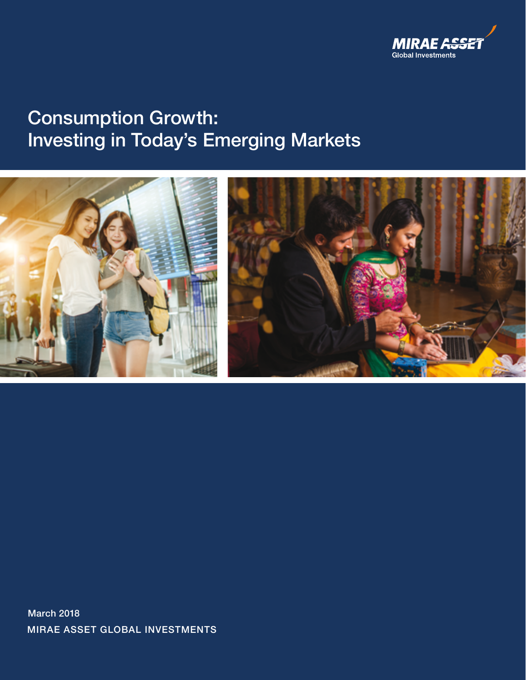

# Consumption Growth: Investing in Today's Emerging Markets





MIRAE ASSET GLOBAL INVESTMENTS March 2018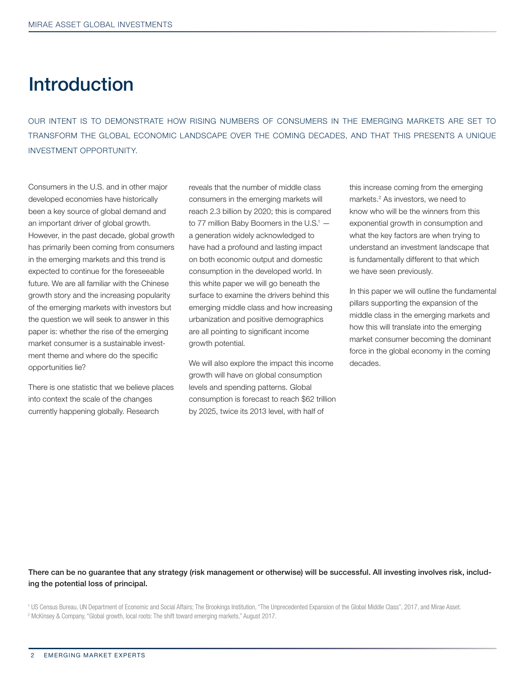## **Introduction**

OUR INTENT IS TO DEMONSTRATE HOW RISING NUMBERS OF CONSUMERS IN THE EMERGING MARKETS ARE SET TO TRANSFORM THE GLOBAL ECONOMIC LANDSCAPE OVER THE COMING DECADES, AND THAT THIS PRESENTS A UNIQUE INVESTMENT OPPORTUNITY.

Consumers in the U.S. and in other major developed economies have historically been a key source of global demand and an important driver of global growth. However, in the past decade, global growth has primarily been coming from consumers in the emerging markets and this trend is expected to continue for the foreseeable future. We are all familiar with the Chinese growth story and the increasing popularity of the emerging markets with investors but the question we will seek to answer in this paper is: whether the rise of the emerging market consumer is a sustainable investment theme and where do the specific opportunities lie?

There is one statistic that we believe places into context the scale of the changes currently happening globally. Research

reveals that the number of middle class consumers in the emerging markets will reach 2.3 billion by 2020; this is compared to 77 million Baby Boomers in the  $U.S.^1$  a generation widely acknowledged to have had a profound and lasting impact on both economic output and domestic consumption in the developed world. In this white paper we will go beneath the surface to examine the drivers behind this emerging middle class and how increasing urbanization and positive demographics are all pointing to significant income growth potential.

We will also explore the impact this income growth will have on global consumption levels and spending patterns. Global consumption is forecast to reach \$62 trillion by 2025, twice its 2013 level, with half of

this increase coming from the emerging markets.2 As investors, we need to know who will be the winners from this exponential growth in consumption and what the key factors are when trying to understand an investment landscape that is fundamentally different to that which we have seen previously.

In this paper we will outline the fundamental pillars supporting the expansion of the middle class in the emerging markets and how this will translate into the emerging market consumer becoming the dominant force in the global economy in the coming decades.

There can be no guarantee that any strategy (risk management or otherwise) will be successful. All investing involves risk, including the potential loss of principal.

<sup>1</sup> US Census Bureau, UN Department of Economic and Social Affairs; The Brookings Institution, "The Unprecedented Expansion of the Global Middle Class", 2017, and Mirae Asset. 2 McKinsey & Company, "Global growth, local roots: The shift toward emerging markets," August 2017.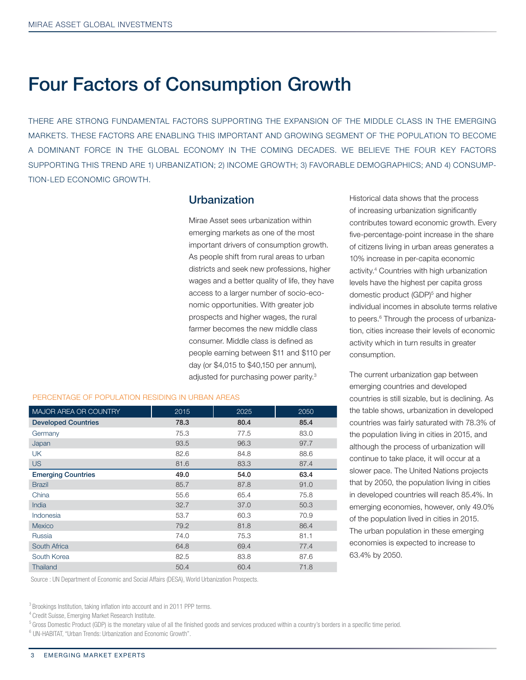## Four Factors of Consumption Growth

THERE ARE STRONG FUNDAMENTAL FACTORS SUPPORTING THE EXPANSION OF THE MIDDLE CLASS IN THE EMERGING MARKETS. THESE FACTORS ARE ENABLING THIS IMPORTANT AND GROWING SEGMENT OF THE POPULATION TO BECOME A DOMINANT FORCE IN THE GLOBAL ECONOMY IN THE COMING DECADES. WE BELIEVE THE FOUR KEY FACTORS SUPPORTING THIS TREND ARE 1) URBANIZATION; 2) INCOME GROWTH; 3) FAVORABLE DEMOGRAPHICS; AND 4) CONSUMP-TION-LED ECONOMIC GROWTH.

### Urbanization

Mirae Asset sees urbanization within emerging markets as one of the most important drivers of consumption growth. As people shift from rural areas to urban districts and seek new professions, higher wages and a better quality of life, they have access to a larger number of socio-economic opportunities. With greater job prospects and higher wages, the rural farmer becomes the new middle class consumer. Middle class is defined as people earning between \$11 and \$110 per day (or \$4,015 to \$40,150 per annum), adjusted for purchasing power parity.3

| <b>MAJOR AREA OR COUNTRY</b> | 2015 | 2025 | 2050 |
|------------------------------|------|------|------|
| <b>Developed Countries</b>   | 78.3 | 80.4 | 85.4 |
| Germany                      | 75.3 | 77.5 | 83.0 |
| Japan                        | 93.5 | 96.3 | 97.7 |
| <b>UK</b>                    | 82.6 | 84.8 | 88.6 |
| <b>US</b>                    | 81.6 | 83.3 | 87.4 |
| <b>Emerging Countries</b>    | 49.0 | 54.0 | 63.4 |
| <b>Brazil</b>                | 85.7 | 87.8 | 91.0 |
| China                        | 55.6 | 65.4 | 75.8 |
| India                        | 32.7 | 37.0 | 50.3 |
| Indonesia                    | 53.7 | 60.3 | 70.9 |
| Mexico                       | 79.2 | 81.8 | 86.4 |
| Russia                       | 74.0 | 75.3 | 81.1 |
| South Africa                 | 64.8 | 69.4 | 77.4 |
| South Korea                  | 82.5 | 83.8 | 87.6 |
| Thailand                     | 50.4 | 60.4 | 71.8 |

PERCENTAGE OF POPULATION RESIDING IN URBAN AREAS

Source : UN Department of Economic and Social Affairs (DESA), World Urbanization Prospects.

<sup>3</sup> Brookings Institution, taking inflation into account and in 2011 PPP terms.

5 Gross Domestic Product (GDP) is the monetary value of all the finished goods and services produced within a country's borders in a specific time period.

6 UN-HABITAT, "Urban Trends: Urbanization and Economic Growth".

Historical data shows that the process of increasing urbanization significantly contributes toward economic growth. Every five-percentage-point increase in the share of citizens living in urban areas generates a 10% increase in per-capita economic activity.4 Countries with high urbanization levels have the highest per capita gross domestic product (GDP)<sup>5</sup> and higher individual incomes in absolute terms relative to peers.<sup>6</sup> Through the process of urbanization, cities increase their levels of economic activity which in turn results in greater consumption.

The current urbanization gap between emerging countries and developed countries is still sizable, but is declining. As the table shows, urbanization in developed countries was fairly saturated with 78.3% of the population living in cities in 2015, and although the process of urbanization will continue to take place, it will occur at a slower pace. The United Nations projects that by 2050, the population living in cities in developed countries will reach 85.4%. In emerging economies, however, only 49.0% of the population lived in cities in 2015. The urban population in these emerging economies is expected to increase to 63.4% by 2050.

<sup>4</sup> Credit Suisse, Emerging Market Research Institute.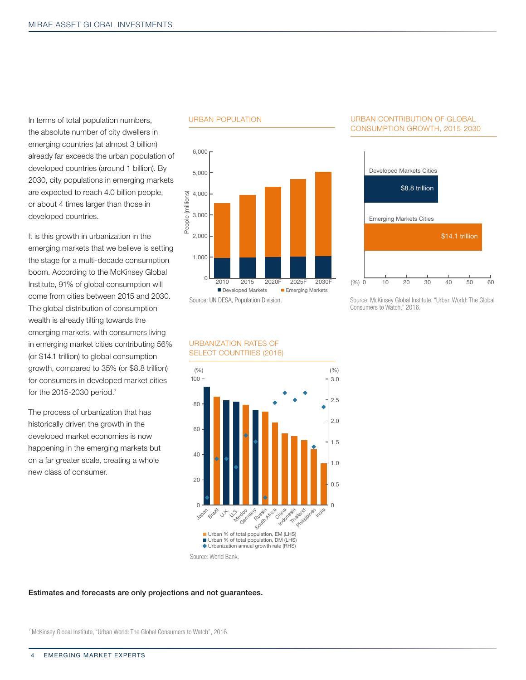In terms of total population numbers, the absolute number of city dwellers in emerging countries (at almost 3 billion) already far exceeds the urban population of developed countries (around 1 billion). By 2030, city populations in emerging markets are expected to reach 4.0 billion people, or about 4 times larger than those in developed countries.

It is this growth in urbanization in the emerging markets that we believe is setting the stage for a multi-decade consumption boom. According to the McKinsey Global Institute, 91% of global consumption will come from cities between 2015 and 2030. The global distribution of consumption wealth is already tilting towards the emerging markets, with consumers living in emerging market cities contributing 56% (or \$14.1 trillion) to global consumption growth, compared to 35% (or \$8.8 trillion) for consumers in developed market cities for the 2015-2030 period.7

The process of urbanization that has historically driven the growth in the developed market economies is now happening in the emerging markets but on a far greater scale, creating a whole new class of consumer.

#### URBAN POPULATION



#### URBAN CONTRIBUTION OF GLOBAL CONSUMPTION GROWTH, 2015-2030



Source: McKinsey Global Institute, "Urban World: The Global Consumers to Watch," 2016.

#### URBANIZATION RATES OF SELECT COUNTRIES (2016)



Source: World Bank.

#### Estimates and forecasts are only projections and not guarantees.

7 McKinsey Global Institute, "Urban World: The Global Consumers to Watch", 2016.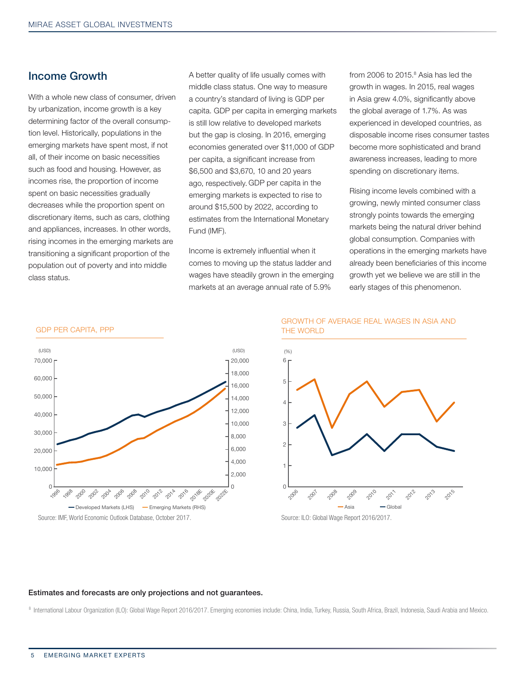### Income Growth

With a whole new class of consumer, driven by urbanization, income growth is a key determining factor of the overall consumption level. Historically, populations in the emerging markets have spent most, if not all, of their income on basic necessities such as food and housing. However, as incomes rise, the proportion of income spent on basic necessities gradually decreases while the proportion spent on discretionary items, such as cars, clothing and appliances, increases. In other words, rising incomes in the emerging markets are transitioning a significant proportion of the population out of poverty and into middle class status.

GDP PER CAPITA, PPP

A better quality of life usually comes with middle class status. One way to measure a country's standard of living is GDP per capita. GDP per capita in emerging markets is still low relative to developed markets but the gap is closing. In 2016, emerging economies generated over \$11,000 of GDP per capita, a significant increase from \$6,500 and \$3,670, 10 and 20 years ago, respectively. GDP per capita in the emerging markets is expected to rise to around \$15,500 by 2022, according to estimates from the International Monetary Fund (IMF).

Income is extremely influential when it comes to moving up the status ladder and wages have steadily grown in the emerging markets at an average annual rate of 5.9%

from 2006 to 2015.<sup>8</sup> Asia has led the growth in wages. In 2015, real wages in Asia grew 4.0%, significantly above the global average of 1.7%. As was experienced in developed countries, as disposable income rises consumer tastes become more sophisticated and brand awareness increases, leading to more spending on discretionary items.

Rising income levels combined with a growing, newly minted consumer class strongly points towards the emerging markets being the natural driver behind global consumption. Companies with operations in the emerging markets have already been beneficiaries of this income growth yet we believe we are still in the early stages of this phenomenon.



Source: IMF, World Economic Outlook Database, October 2017.

#### GROWTH OF AVERAGE REAL WAGES IN ASIA AND THE WORLD



Source: ILO: Global Wage Report 2016/2017.

#### Estimates and forecasts are only projections and not guarantees.

<sup>8</sup> International Labour Organization (ILO): Global Wage Report 2016/2017. Emerging economies include: China, India, Turkey, Russia, South Africa, Brazil, Indonesia, Saudi Arabia and Mexico.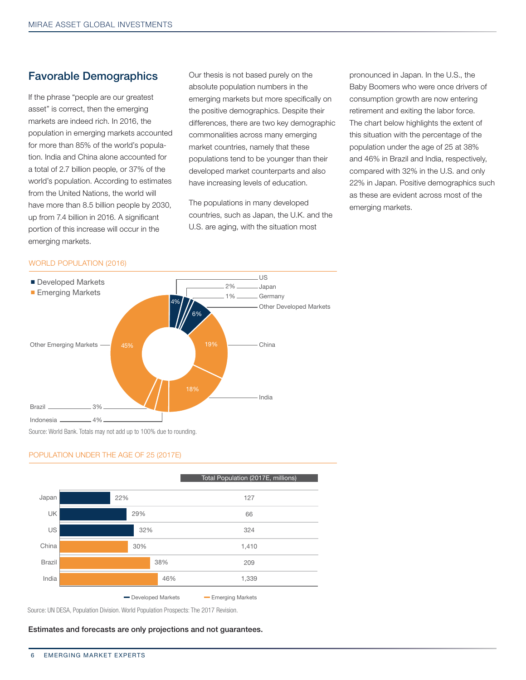### Favorable Demographics

If the phrase "people are our greatest asset" is correct, then the emerging markets are indeed rich. In 2016, the population in emerging markets accounted for more than 85% of the world's population. India and China alone accounted for a total of 2.7 billion people, or 37% of the world's population. According to estimates from the United Nations, the world will have more than 8.5 billion people by 2030, up from 7.4 billion in 2016. A significant portion of this increase will occur in the emerging markets.

Our thesis is not based purely on the absolute population numbers in the emerging markets but more specifically on the positive demographics. Despite their differences, there are two key demographic commonalities across many emerging market countries, namely that these populations tend to be younger than their developed market counterparts and also have increasing levels of education.

The populations in many developed countries, such as Japan, the U.K. and the U.S. are aging, with the situation most

pronounced in Japan. In the U.S., the Baby Boomers who were once drivers of consumption growth are now entering retirement and exiting the labor force. The chart below highlights the extent of this situation with the percentage of the population under the age of 25 at 38% and 46% in Brazil and India, respectively, compared with 32% in the U.S. and only 22% in Japan. Positive demographics such as these are evident across most of the emerging markets.

#### WORLD POPULATION (2016)



#### POPULATION UNDER THE AGE OF 25 (2017E)

|                                                              |     |     | Total Population (2017E, millions) |  |
|--------------------------------------------------------------|-----|-----|------------------------------------|--|
| Japan                                                        | 22% |     | 127                                |  |
| UK                                                           | 29% |     | 66                                 |  |
| US                                                           | 32% |     | 324                                |  |
| China                                                        | 30% |     | 1,410                              |  |
| <b>Brazil</b>                                                |     | 38% | 209                                |  |
| India                                                        |     | 46% | 1,339                              |  |
| - Developed Markets<br><b>Emerging Markets</b><br><b>COL</b> |     |     |                                    |  |

Source: UN DESA, Population Division. World Population Prospects: The 2017 Revision.

Estimates and forecasts are only projections and not guarantees.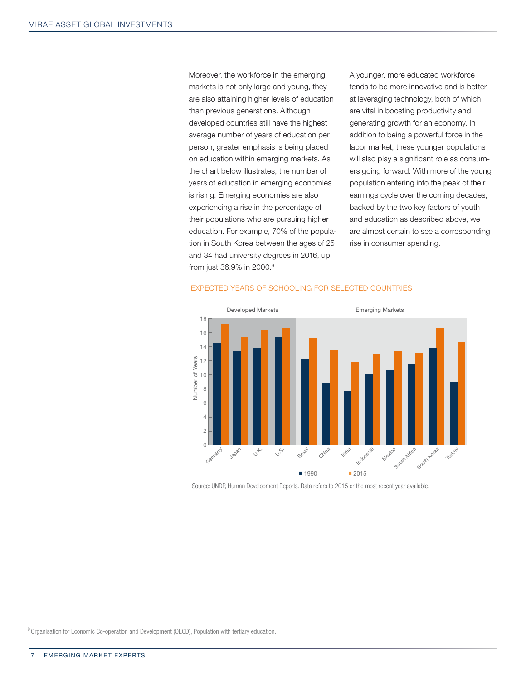Moreover, the workforce in the emerging markets is not only large and young, they are also attaining higher levels of education than previous generations. Although developed countries still have the highest average number of years of education per person, greater emphasis is being placed on education within emerging markets. As the chart below illustrates, the number of years of education in emerging economies is rising. Emerging economies are also experiencing a rise in the percentage of their populations who are pursuing higher education. For example, 70% of the population in South Korea between the ages of 25 and 34 had university degrees in 2016, up from just 36.9% in 2000.<sup>9</sup>

A younger, more educated workforce tends to be more innovative and is better at leveraging technology, both of which are vital in boosting productivity and generating growth for an economy. In addition to being a powerful force in the labor market, these younger populations will also play a significant role as consumers going forward. With more of the young population entering into the peak of their earnings cycle over the coming decades, backed by the two key factors of youth and education as described above, we are almost certain to see a corresponding rise in consumer spending.



#### EXPECTED YEARS OF SCHOOLING FOR SELECTED COUNTRIES

Source: UNDP, Human Development Reports. Data refers to 2015 or the most recent year available.

<sup>9</sup> Organisation for Economic Co-operation and Development (OECD), Population with tertiary education.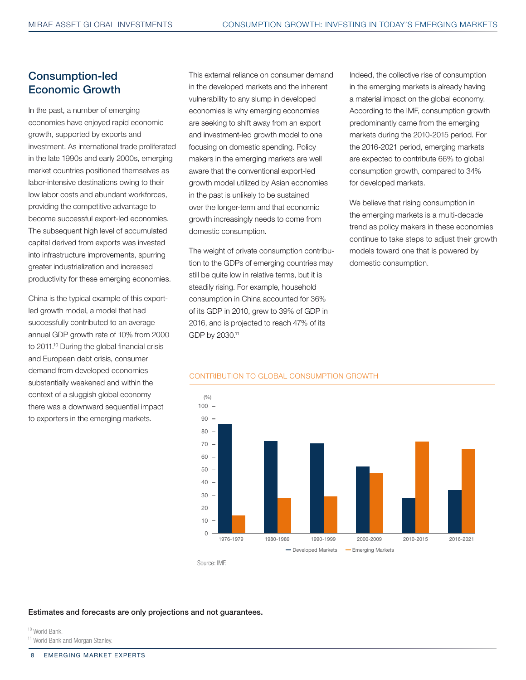## Consumption-led Economic Growth

In the past, a number of emerging economies have enjoyed rapid economic growth, supported by exports and investment. As international trade proliferated in the late 1990s and early 2000s, emerging market countries positioned themselves as labor-intensive destinations owing to their low labor costs and abundant workforces, providing the competitive advantage to become successful export-led economies. The subsequent high level of accumulated capital derived from exports was invested into infrastructure improvements, spurring greater industrialization and increased productivity for these emerging economies.

China is the typical example of this exportled growth model, a model that had successfully contributed to an average annual GDP growth rate of 10% from 2000 to 2011.10 During the global financial crisis and European debt crisis, consumer demand from developed economies substantially weakened and within the context of a sluggish global economy there was a downward sequential impact to exporters in the emerging markets.

This external reliance on consumer demand in the developed markets and the inherent vulnerability to any slump in developed economies is why emerging economies are seeking to shift away from an export and investment-led growth model to one focusing on domestic spending. Policy makers in the emerging markets are well aware that the conventional export-led growth model utilized by Asian economies in the past is unlikely to be sustained over the longer-term and that economic growth increasingly needs to come from domestic consumption.

The weight of private consumption contribution to the GDPs of emerging countries may still be quite low in relative terms, but it is steadily rising. For example, household consumption in China accounted for 36% of its GDP in 2010, grew to 39% of GDP in 2016, and is projected to reach 47% of its GDP by 2030.11

Indeed, the collective rise of consumption in the emerging markets is already having a material impact on the global economy. According to the IMF, consumption growth predominantly came from the emerging markets during the 2010-2015 period. For the 2016-2021 period, emerging markets are expected to contribute 66% to global consumption growth, compared to 34% for developed markets.

We believe that rising consumption in the emerging markets is a multi-decade trend as policy makers in these economies continue to take steps to adjust their growth models toward one that is powered by domestic consumption.



#### CONTRIBUTION TO GLOBAL CONSUMPTION GROWTH

Source: IMF.

Estimates and forecasts are only projections and not guarantees.

10 World Bank. <sup>11</sup> World Bank and Morgan Stanley.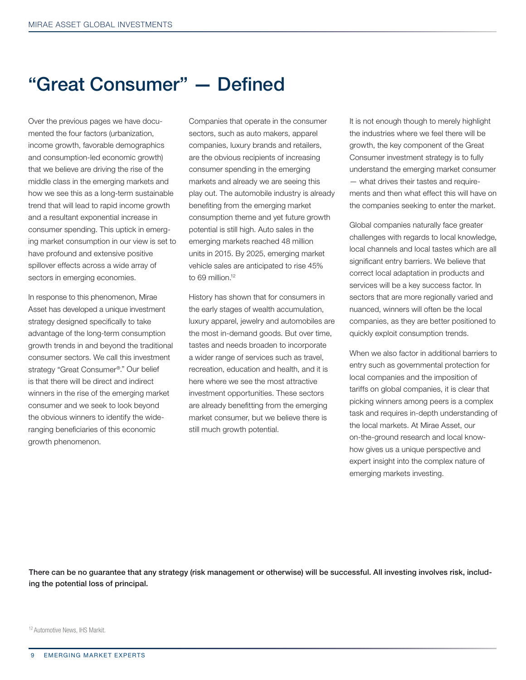## "Great Consumer" — Defined

Over the previous pages we have documented the four factors (urbanization, income growth, favorable demographics and consumption-led economic growth) that we believe are driving the rise of the middle class in the emerging markets and how we see this as a long-term sustainable trend that will lead to rapid income growth and a resultant exponential increase in consumer spending. This uptick in emerging market consumption in our view is set to have profound and extensive positive spillover effects across a wide array of sectors in emerging economies.

In response to this phenomenon, Mirae Asset has developed a unique investment strategy designed specifically to take advantage of the long-term consumption growth trends in and beyond the traditional consumer sectors. We call this investment strategy "Great Consumer®." Our belief is that there will be direct and indirect winners in the rise of the emerging market consumer and we seek to look beyond the obvious winners to identify the wideranging beneficiaries of this economic growth phenomenon.

Companies that operate in the consumer sectors, such as auto makers, apparel companies, luxury brands and retailers, are the obvious recipients of increasing consumer spending in the emerging markets and already we are seeing this play out. The automobile industry is already benefiting from the emerging market consumption theme and yet future growth potential is still high. Auto sales in the emerging markets reached 48 million units in 2015. By 2025, emerging market vehicle sales are anticipated to rise 45% to 69 million.<sup>12</sup>

History has shown that for consumers in the early stages of wealth accumulation, luxury apparel, jewelry and automobiles are the most in-demand goods. But over time, tastes and needs broaden to incorporate a wider range of services such as travel, recreation, education and health, and it is here where we see the most attractive investment opportunities. These sectors are already benefitting from the emerging market consumer, but we believe there is still much growth potential.

It is not enough though to merely highlight the industries where we feel there will be growth, the key component of the Great Consumer investment strategy is to fully understand the emerging market consumer — what drives their tastes and requirements and then what effect this will have on the companies seeking to enter the market.

Global companies naturally face greater challenges with regards to local knowledge, local channels and local tastes which are all significant entry barriers. We believe that correct local adaptation in products and services will be a key success factor. In sectors that are more regionally varied and nuanced, winners will often be the local companies, as they are better positioned to quickly exploit consumption trends.

When we also factor in additional barriers to entry such as governmental protection for local companies and the imposition of tariffs on global companies, it is clear that picking winners among peers is a complex task and requires in-depth understanding of the local markets. At Mirae Asset, our on-the-ground research and local knowhow gives us a unique perspective and expert insight into the complex nature of emerging markets investing.

There can be no guarantee that any strategy (risk management or otherwise) will be successful. All investing involves risk, including the potential loss of principal.

<sup>12</sup> Automotive News, IHS Markit.